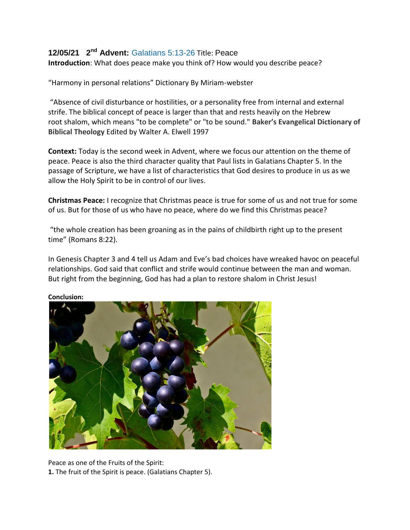## **12/05/21 2nd Advent:** [Galatians 5:13-26](https://www.sermoncentral.com/sermons/scripture/sermons-on-galatians-5-13-26?keyword=Galatians+5%3A13-26) Title: Peace

**Introduction**: What does peace make you think of? How would you describe peace?

"Harmony in personal relations" Dictionary By Miriam-webster

"Absence of civil disturbance or hostilities, or a personality free from internal and external strife. The biblical concept of peace is larger than that and rests heavily on the Hebrew root shalom, which means "to be complete" or "to be sound." **Baker's Evangelical Dictionary of Biblical Theology** Edited by Walter A. Elwell 1997

**Context:** Today is the second week in Advent, where we focus our attention on the theme of peace. Peace is also the third character quality that Paul lists in Galatians Chapter 5. In the passage of Scripture, we have a list of characteristics that God desires to produce in us as we allow the Holy Spirit to be in control of our lives.

**Christmas Peace:** I recognize that Christmas peace is true for some of us and not true for some of us. But for those of us who have no peace, where do we find this Christmas peace?

"the whole creation has been groaning as in the pains of childbirth right up to the present time" (Romans 8:22).

In Genesis Chapter 3 and 4 tell us Adam and Eve's bad choices have wreaked havoc on peaceful relationships. God said that conflict and strife would continue between the man and woman. But right from the beginning, God has had a plan to restore shalom in Christ Jesus!



**Conclusion:** 

Peace as one of the Fruits of the Spirit: **1.** The fruit of the Spirit is peace. (Galatians Chapter 5).